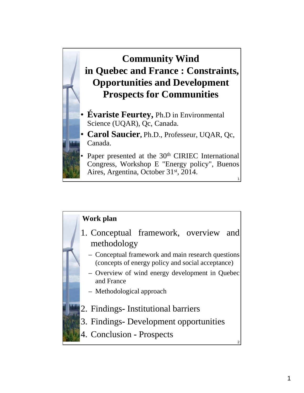

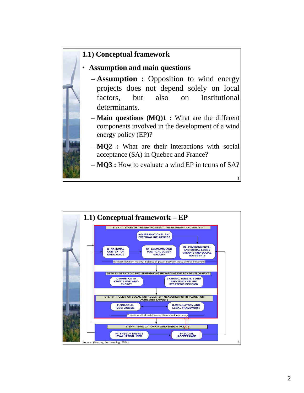### **1.1) Conceptual framework**

# • **Assumption and main questions**

– **Assumption :** Opposition to wind energy projects does not depend solely on local factors, but also on institutional determinants.

– **Main questions (MQ)1 :** What are the different components involved in the development of a wind energy policy (EP)?

– **MQ2 :** What are their interactions with social acceptance (SA) in Quebec and France?

– **MQ3 :** How to evaluate a wind EP in terms of SA?

3

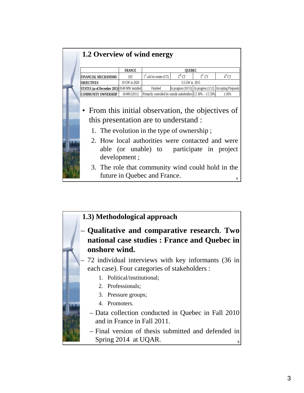| 1.2 Overview of wind energy                                                                                                               |               |                                                                |                |          |                                                                |
|-------------------------------------------------------------------------------------------------------------------------------------------|---------------|----------------------------------------------------------------|----------------|----------|----------------------------------------------------------------|
|                                                                                                                                           | <b>FRANCE</b> |                                                                | <b>OUEBEC</b>  |          |                                                                |
| <b>FINANCIAL MECHANISMS</b>                                                                                                               | <b>FIT</b>    | $1st$ call for tender (CT)                                     | $2nd$ CT       | $3rd$ CT | $4^{\text{th}}$ CT                                             |
| <b>OBJECTIVES</b>                                                                                                                         | 19 GW in 2020 |                                                                | 3.5 GW in 2015 |          |                                                                |
| STATUS (as of December 2013) 8140 MW installed                                                                                            |               | Finished                                                       |                |          | In progress $(10/15)$ In progress $(1/12)$ Accepting Proposals |
| <b>COMMUNITY OWNERSHIP</b>                                                                                                                | 10/400 (2011) | Primarily controlled by outside stakeholders 1/2 30% - 1/2 50% |                |          | $\geq 50\%$                                                    |
| • From this initial observation, the objectives of<br>this presentation are to understand :<br>1. The evolution in the type of ownership; |               |                                                                |                |          |                                                                |
| 2. How local authorities were contacted and were                                                                                          | development;  | able (or unable) to participate in project                     |                |          |                                                                |
| 3. The role that community wind could hold in the                                                                                         |               | future in Quebec and France.                                   |                |          | 5                                                              |

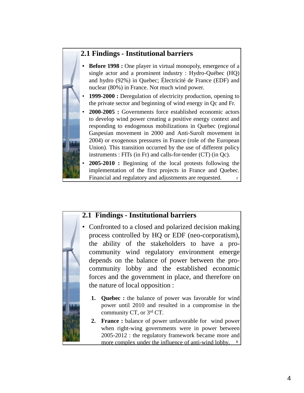## **2.1 Findings - Institutional barriers**

- **Before 1998 :** One player in virtual monopoly, emergence of a single actor and a prominent industry : Hydro-Québec (HQ) and hydro (92%) in Quebec; Électricité de France (EDF) and nuclear (80%) in France. Not much wind power.
- **1999-2000 :** Deregulation of electricity production, opening to the private sector and beginning of wind energy in Qc and Fr.
- **2000-2005 :** Governments force established economic actors to develop wind power creating a positive energy context and responding to endogenous mobilizations in Quebec (regional Gaspesian movement in 2000 and Anti-Suroît movement in 2004) or exogenous pressures in France (role of the European Union). This transition occurred by the use of different policy instruments : FITs (in Fr) and calls-for-tender (CT) (in Qc).
- 7 • **2005-2010 :** Beginning of the local protests following the implementation of the first projects in France and Quebec. Financial and regulatory and adjustments are requested.



#### **2.1 Findings - Institutional barriers**

- Confronted to a closed and polarized decision making process controlled by HQ or EDF (neo-corporatism), the ability of the stakeholders to have a procommunity wind regulatory environment emerge depends on the balance of power between the procommunity lobby and the established economic forces and the government in place, and therefore on the nature of local opposition :
	- **1. Quebec :** the balance of power was favorable for wind power until 2010 and resulted in a compromise in the community CT, or 3rd CT.
	- **2. France :** balance of power unfavorable for wind power when right-wing governments were in power between 2005-2012 : the regulatory framework became more and more complex under the influence of anti-wind lobby. 8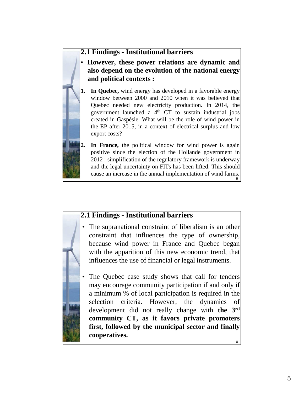## **2.1 Findings - Institutional barriers**

• **However, these power relations are dynamic and also depend on the evolution of the national energy and political contexts :**

**1. In Quebec,** wind energy has developed in a favorable energy window between 2000 and 2010 when it was believed that Quebec needed new electricity production. In 2014, the government launched a  $4<sup>th</sup>$  CT to sustain industrial jobs created in Gaspésie. What will be the role of wind power in the EP after 2015, in a context of electrical surplus and low export costs?



In France, the political window for wind power is again positive since the election of the Hollande government in 2012 : simplification of the regulatory framework is underway and the legal uncertainty on FITs has been lifted. This should cause an increase in the annual implementation of wind farms. 9

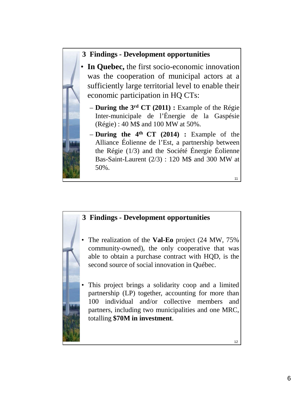# **3 Findings - Development opportunities**

- In Quebec, the first socio-economic innovation was the cooperation of municipal actors at a sufficiently large territorial level to enable their economic participation in HQ CTs:
	- **During the 3rd CT (2011) :** Example of the Régie Inter-municipale de l'Énergie de la Gaspésie (Régie) : 40 M\$ and 100 MW at 50%.
	- **During the 4th CT (2014) :** Example of the Alliance Éolienne de l'Est, a partnership between the Régie (1/3) and the Société Énergie Éolienne Bas-Saint-Laurent (2/3) : 120 M\$ and 300 MW at 50%.

11

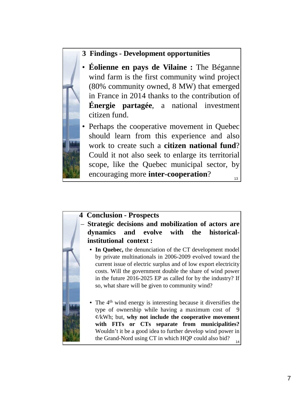#### **3 Findings - Development opportunities**

- **Éolienne en pays de Vilaine :** The Béganne wind farm is the first community wind project (80% community owned, 8 MW) that emerged in France in 2014 thanks to the contribution of **Énergie partagée**, a national investment citizen fund.
- Perhaps the cooperative movement in Quebec should learn from this experience and also work to create such a **citizen national fund**? Could it not also seek to enlarge its territorial scope, like the Quebec municipal sector, by encouraging more **inter-cooperation**? 13

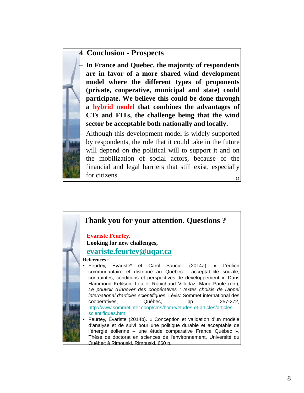#### **4 Conclusion - Prospects**

– **In France and Quebec, the majority of respondents are in favor of a more shared wind development model where the different types of proponents (private, cooperative, municipal and state) could participate. We believe this could be done through a hybrid model that combines the advantages of CTs and FITs, the challenge being that the wind sector be acceptable both nationally and locally.**

15 – Although this development model is widely supported by respondents, the role that it could take in the future will depend on the political will to support it and on the mobilization of social actors, because of the financial and legal barriers that still exist, especially for citizens.